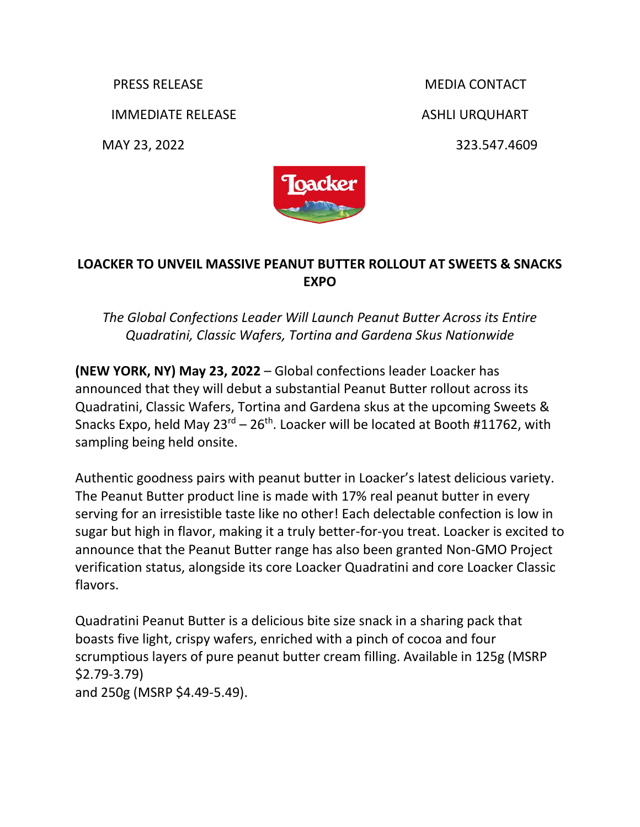IMMEDIATE RELEASE ASHLI URQUHART

MAY 23, 2022 323.547.4609

PRESS RELEASE MEDIA CONTACT



## **LOACKER TO UNVEIL MASSIVE PEANUT BUTTER ROLLOUT AT SWEETS & SNACKS EXPO**

## *The Global Confections Leader Will Launch Peanut Butter Across its Entire Quadratini, Classic Wafers, Tortina and Gardena Skus Nationwide*

**(NEW YORK, NY) May 23, 2022** – Global confections leader Loacker has announced that they will debut a substantial Peanut Butter rollout across its Quadratini, Classic Wafers, Tortina and Gardena skus at the upcoming Sweets & Snacks Expo, held May  $23^{rd} - 26^{th}$ . Loacker will be located at Booth #11762, with sampling being held onsite.

Authentic goodness pairs with peanut butter in Loacker's latest delicious variety. The Peanut Butter product line is made with 17% real peanut butter in every serving for an irresistible taste like no other! Each delectable confection is low in sugar but high in flavor, making it a truly better-for-you treat. Loacker is excited to announce that the Peanut Butter range has also been granted Non-GMO Project verification status, alongside its core Loacker Quadratini and core Loacker Classic flavors.

Quadratini Peanut Butter is a delicious bite size snack in a sharing pack that boasts five light, crispy wafers, enriched with a pinch of cocoa and four scrumptious layers of pure peanut butter cream filling. Available in 125g (MSRP \$2.79-3.79) and 250g (MSRP \$4.49-5.49).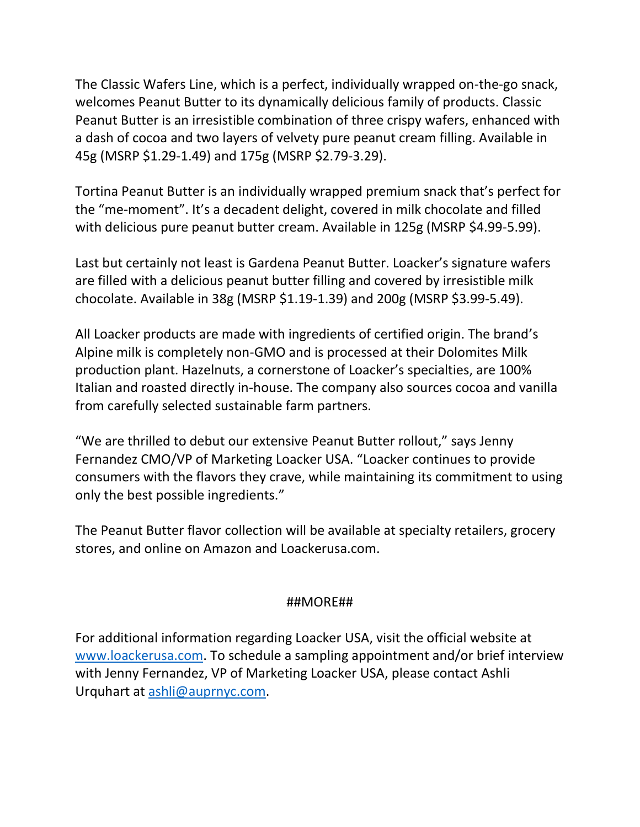The Classic Wafers Line, which is a perfect, individually wrapped on-the-go snack, welcomes Peanut Butter to its dynamically delicious family of products. Classic Peanut Butter is an irresistible combination of three crispy wafers, enhanced with a dash of cocoa and two layers of velvety pure peanut cream filling. Available in 45g (MSRP \$1.29-1.49) and 175g (MSRP \$2.79-3.29).

Tortina Peanut Butter is an individually wrapped premium snack that's perfect for the "me-moment". It's a decadent delight, covered in milk chocolate and filled with delicious pure peanut butter cream. Available in 125g (MSRP \$4.99-5.99).

Last but certainly not least is Gardena Peanut Butter. Loacker's signature wafers are filled with a delicious peanut butter filling and covered by irresistible milk chocolate. Available in 38g (MSRP \$1.19-1.39) and 200g (MSRP \$3.99-5.49).

All Loacker products are made with ingredients of certified origin. The brand's Alpine milk is completely non-GMO and is processed at their Dolomites Milk production plant. Hazelnuts, a cornerstone of Loacker's specialties, are 100% Italian and roasted directly in-house. The company also sources cocoa and vanilla from carefully selected sustainable farm partners.

"We are thrilled to debut our extensive Peanut Butter rollout," says Jenny Fernandez CMO/VP of Marketing Loacker USA. "Loacker continues to provide consumers with the flavors they crave, while maintaining its commitment to using only the best possible ingredients."

The Peanut Butter flavor collection will be available at specialty retailers, grocery stores, and online on Amazon and Loackerusa.com.

## ##MORE##

For additional information regarding Loacker USA, visit the official website at [www.loackerusa.com.](http://www.loackerusa.com/) To schedule a sampling appointment and/or brief interview with Jenny Fernandez, VP of Marketing Loacker USA, please contact Ashli Urquhart at [ashli@auprnyc.com.](mailto:ashli@auprnyc.com)